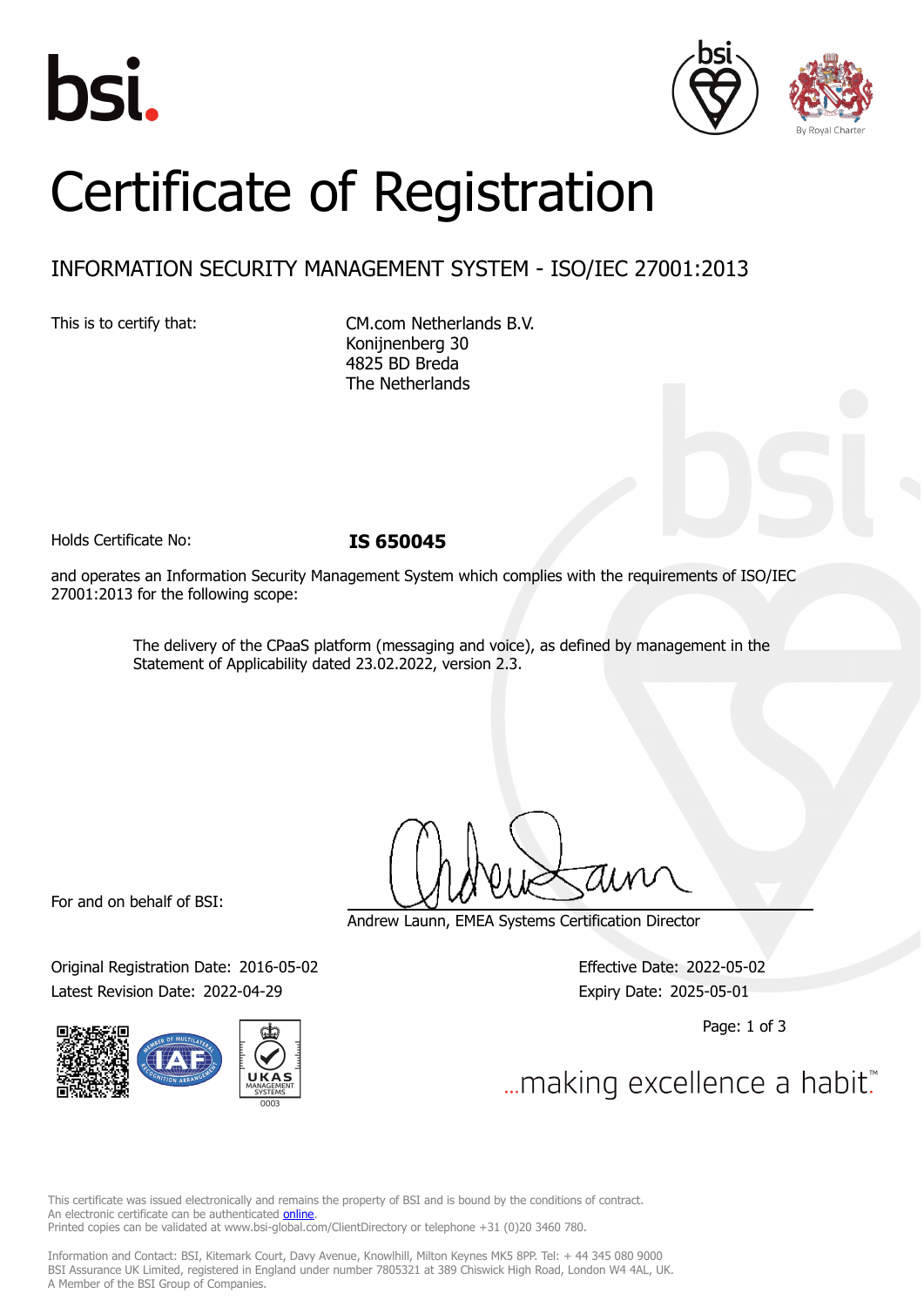





# Certificate of Registration

# INFORMATION SECURITY MANAGEMENT SYSTEM - ISO/IEC 27001:2013

This is to certify that: CM.com Netherlands B.V. Konijnenberg 30 4825 BD Breda The Netherlands

Holds Certificate No: **IS 650045**

and operates an Information Security Management System which complies with the requirements of ISO/IEC 27001:2013 for the following scope:

> The delivery of the CPaaS platform (messaging and voice), as defined by management in the Statement of Applicability dated 23.02.2022, version 2.3.

For and on behalf of BSI:

Original Registration Date: 2016-05-02 Effective Date: 2022-05-02 Latest Revision Date: 2022-04-29 Expiry Date: 2025-05-01



Andrew Launn, EMEA Systems Certification Director

Page: 1 of 3

... making excellence a habit.

This certificate was issued electronically and remains the property of BSI and is bound by the conditions of contract. An electronic certificate can be authenticated **[online](https://pgplus.bsigroup.com/CertificateValidation/CertificateValidator.aspx?CertificateNumber=IS+650045&ReIssueDate=29%2f04%2f2022&Template=cemea_en)**. Printed copies can be validated at www.bsi-global.com/ClientDirectory or telephone +31 (0)20 3460 780.

Information and Contact: BSI, Kitemark Court, Davy Avenue, Knowlhill, Milton Keynes MK5 8PP. Tel: + 44 345 080 9000 BSI Assurance UK Limited, registered in England under number 7805321 at 389 Chiswick High Road, London W4 4AL, UK. A Member of the BSI Group of Companies.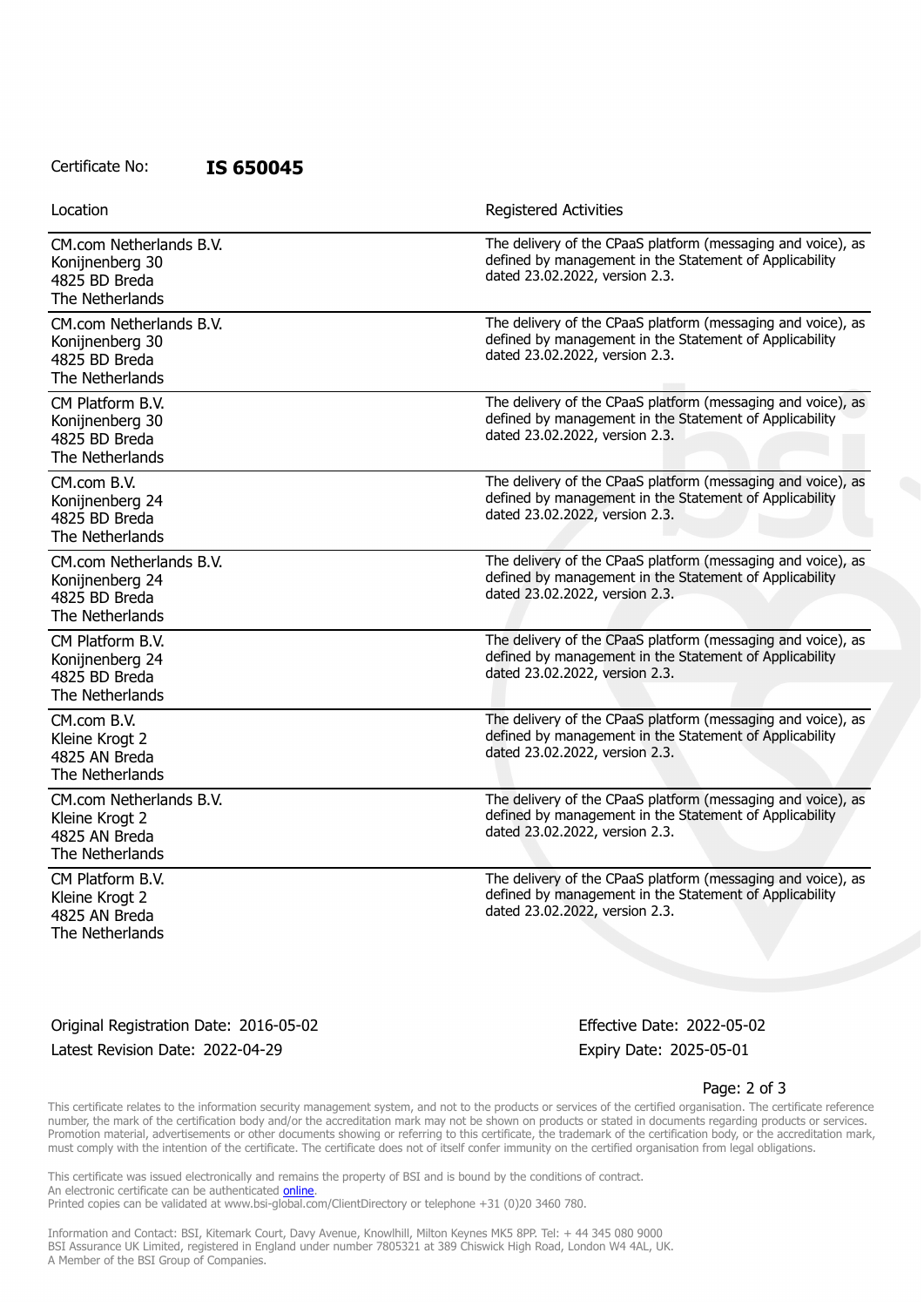### Certificate No: **IS 650045**

Location **Exercise 2018 Location Registered Activities** 

| CM.com Netherlands B.V.<br>Konijnenberg 30<br>4825 BD Breda<br>The Netherlands | The delivery of the CPaaS platform (messaging and voice), as<br>defined by management in the Statement of Applicability<br>dated 23.02.2022, version 2.3. |
|--------------------------------------------------------------------------------|-----------------------------------------------------------------------------------------------------------------------------------------------------------|
| CM.com Netherlands B.V.<br>Konijnenberg 30<br>4825 BD Breda<br>The Netherlands | The delivery of the CPaaS platform (messaging and voice), as<br>defined by management in the Statement of Applicability<br>dated 23.02.2022, version 2.3. |
| CM Platform B.V.<br>Konijnenberg 30<br>4825 BD Breda<br>The Netherlands        | The delivery of the CPaaS platform (messaging and voice), as<br>defined by management in the Statement of Applicability<br>dated 23.02.2022, version 2.3. |
| CM.com B.V.<br>Konijnenberg 24<br>4825 BD Breda<br>The Netherlands             | The delivery of the CPaaS platform (messaging and voice), as<br>defined by management in the Statement of Applicability<br>dated 23.02.2022, version 2.3. |
| CM.com Netherlands B.V.<br>Konijnenberg 24<br>4825 BD Breda<br>The Netherlands | The delivery of the CPaaS platform (messaging and voice), as<br>defined by management in the Statement of Applicability<br>dated 23.02.2022, version 2.3. |
| CM Platform B.V.<br>Konijnenberg 24<br>4825 BD Breda<br>The Netherlands        | The delivery of the CPaaS platform (messaging and voice), as<br>defined by management in the Statement of Applicability<br>dated 23.02.2022, version 2.3. |
| CM.com B.V.<br>Kleine Krogt 2<br>4825 AN Breda<br>The Netherlands              | The delivery of the CPaaS platform (messaging and voice), as<br>defined by management in the Statement of Applicability<br>dated 23.02.2022, version 2.3. |
| CM.com Netherlands B.V.<br>Kleine Krogt 2<br>4825 AN Breda<br>The Netherlands  | The delivery of the CPaaS platform (messaging and voice), as<br>defined by management in the Statement of Applicability<br>dated 23.02.2022, version 2.3. |
| CM Platform B.V.<br>Kleine Krogt 2<br>4825 AN Breda<br>The Netherlands         | The delivery of the CPaaS platform (messaging and voice), as<br>defined by management in the Statement of Applicability<br>dated 23.02.2022, version 2.3. |

Original Registration Date: 2016-05-02 Effective Date: 2022-05-02 Latest Revision Date: 2022-04-29 Expiry Date: 2025-05-01

#### Page: 2 of 3

This certificate relates to the information security management system, and not to the products or services of the certified organisation. The certificate reference number, the mark of the certification body and/or the accreditation mark may not be shown on products or stated in documents regarding products or services. Promotion material, advertisements or other documents showing or referring to this certificate, the trademark of the certification body, or the accreditation mark, must comply with the intention of the certificate. The certificate does not of itself confer immunity on the certified organisation from legal obligations.

This certificate was issued electronically and remains the property of BSI and is bound by the conditions of contract. An electronic certificate can be authenticated **[online](https://pgplus.bsigroup.com/CertificateValidation/CertificateValidator.aspx?CertificateNumber=IS+650045&ReIssueDate=29%2f04%2f2022&Template=cemea_en)**. Printed copies can be validated at www.bsi-global.com/ClientDirectory or telephone +31 (0)20 3460 780.

Information and Contact: BSI, Kitemark Court, Davy Avenue, Knowlhill, Milton Keynes MK5 8PP. Tel: + 44 345 080 9000 BSI Assurance UK Limited, registered in England under number 7805321 at 389 Chiswick High Road, London W4 4AL, UK. A Member of the BSI Group of Companies.